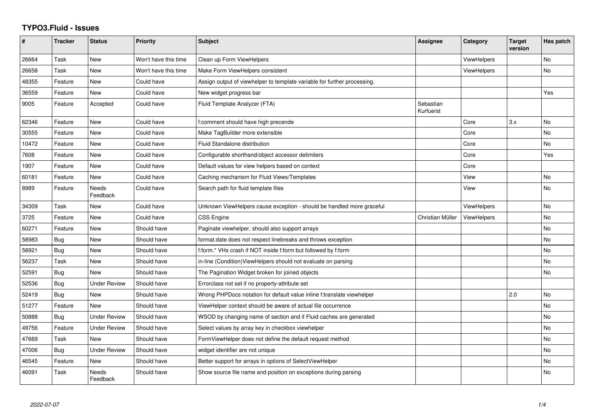## **TYPO3.Fluid - Issues**

| #     | <b>Tracker</b> | <b>Status</b>            | <b>Priority</b>      | Subject                                                                  | <b>Assignee</b>        | Category           | <b>Target</b><br>version | Has patch |
|-------|----------------|--------------------------|----------------------|--------------------------------------------------------------------------|------------------------|--------------------|--------------------------|-----------|
| 26664 | Task           | <b>New</b>               | Won't have this time | Clean up Form ViewHelpers                                                |                        | <b>ViewHelpers</b> |                          | <b>No</b> |
| 26658 | Task           | New                      | Won't have this time | Make Form ViewHelpers consistent                                         |                        | <b>ViewHelpers</b> |                          | No        |
| 48355 | Feature        | <b>New</b>               | Could have           | Assign output of viewhelper to template variable for further processing. |                        |                    |                          |           |
| 36559 | Feature        | New                      | Could have           | New widget progress bar                                                  |                        |                    |                          | Yes       |
| 9005  | Feature        | Accepted                 | Could have           | Fluid Template Analyzer (FTA)                                            | Sebastian<br>Kurfuerst |                    |                          |           |
| 62346 | Feature        | <b>New</b>               | Could have           | f:comment should have high precende                                      |                        | Core               | 3.x                      | No        |
| 30555 | Feature        | New                      | Could have           | Make TagBuilder more extensible                                          |                        | Core               |                          | No        |
| 10472 | Feature        | <b>New</b>               | Could have           | Fluid Standalone distribution                                            |                        | Core               |                          | No.       |
| 7608  | Feature        | New                      | Could have           | Configurable shorthand/object accessor delimiters                        |                        | Core               |                          | Yes       |
| 1907  | Feature        | <b>New</b>               | Could have           | Default values for view helpers based on context                         |                        | Core               |                          |           |
| 60181 | Feature        | New                      | Could have           | Caching mechanism for Fluid Views/Templates                              |                        | View               |                          | No        |
| 8989  | Feature        | <b>Needs</b><br>Feedback | Could have           | Search path for fluid template files                                     |                        | View               |                          | No.       |
| 34309 | Task           | New                      | Could have           | Unknown ViewHelpers cause exception - should be handled more graceful    |                        | ViewHelpers        |                          | No.       |
| 3725  | Feature        | <b>New</b>               | Could have           | CSS Engine                                                               | Christian Müller       | <b>ViewHelpers</b> |                          | <b>No</b> |
| 60271 | Feature        | <b>New</b>               | Should have          | Paginate viewhelper, should also support arrays                          |                        |                    |                          | No        |
| 58983 | Bug            | <b>New</b>               | Should have          | format.date does not respect linebreaks and throws exception             |                        |                    |                          | No        |
| 58921 | Bug            | New                      | Should have          | f:form.* VHs crash if NOT inside f:form but followed by f:form           |                        |                    |                          | No        |
| 56237 | Task           | <b>New</b>               | Should have          | in-line (Condition) ViewHelpers should not evaluate on parsing           |                        |                    |                          | No        |
| 52591 | Bug            | <b>New</b>               | Should have          | The Pagination Widget broken for joined objects                          |                        |                    |                          | No        |
| 52536 | Bug            | Under Review             | Should have          | Errorclass not set if no property-attribute set                          |                        |                    |                          |           |
| 52419 | <b>Bug</b>     | New                      | Should have          | Wrong PHPDocs notation for default value inline f:translate viewhelper   |                        |                    | 2.0                      | No        |
| 51277 | Feature        | <b>New</b>               | Should have          | ViewHelper context should be aware of actual file occurrence             |                        |                    |                          | No        |
| 50888 | Bug            | <b>Under Review</b>      | Should have          | WSOD by changing name of section and if Fluid caches are generated       |                        |                    |                          | No.       |
| 49756 | Feature        | <b>Under Review</b>      | Should have          | Select values by array key in checkbox viewhelper                        |                        |                    |                          | No        |
| 47669 | Task           | New                      | Should have          | FormViewHelper does not define the default request method                |                        |                    |                          | No        |
| 47006 | Bug            | <b>Under Review</b>      | Should have          | widget identifier are not unique                                         |                        |                    |                          | No        |
| 46545 | Feature        | <b>New</b>               | Should have          | Better support for arrays in options of SelectViewHelper                 |                        |                    |                          | No.       |
| 46091 | Task           | Needs<br>Feedback        | Should have          | Show source file name and position on exceptions during parsing          |                        |                    |                          | No        |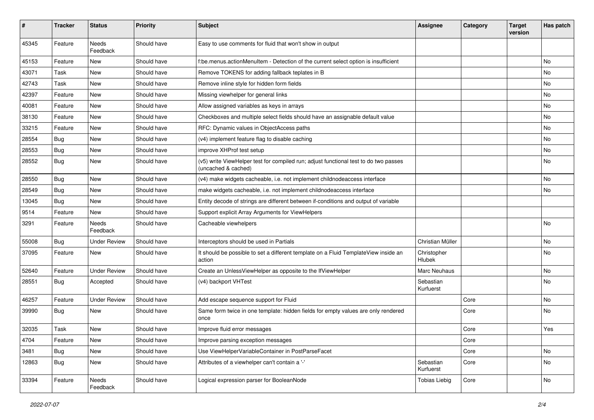| ∦     | <b>Tracker</b> | <b>Status</b>            | <b>Priority</b> | <b>Subject</b>                                                                                              | <b>Assignee</b>        | Category | <b>Target</b><br>version | Has patch |
|-------|----------------|--------------------------|-----------------|-------------------------------------------------------------------------------------------------------------|------------------------|----------|--------------------------|-----------|
| 45345 | Feature        | <b>Needs</b><br>Feedback | Should have     | Easy to use comments for fluid that won't show in output                                                    |                        |          |                          |           |
| 45153 | Feature        | New                      | Should have     | f:be.menus.actionMenuItem - Detection of the current select option is insufficient                          |                        |          |                          | No.       |
| 43071 | Task           | <b>New</b>               | Should have     | Remove TOKENS for adding fallback teplates in B                                                             |                        |          |                          | No.       |
| 42743 | Task           | New                      | Should have     | Remove inline style for hidden form fields                                                                  |                        |          |                          | No        |
| 42397 | Feature        | <b>New</b>               | Should have     | Missing viewhelper for general links                                                                        |                        |          |                          | No        |
| 40081 | Feature        | New                      | Should have     | Allow assigned variables as keys in arrays                                                                  |                        |          |                          | No        |
| 38130 | Feature        | New                      | Should have     | Checkboxes and multiple select fields should have an assignable default value                               |                        |          |                          | No        |
| 33215 | Feature        | New                      | Should have     | RFC: Dynamic values in ObjectAccess paths                                                                   |                        |          |                          | No        |
| 28554 | Bug            | New                      | Should have     | (v4) implement feature flag to disable caching                                                              |                        |          |                          | No        |
| 28553 | Bug            | New                      | Should have     | improve XHProf test setup                                                                                   |                        |          |                          | No        |
| 28552 | Bug            | New                      | Should have     | (v5) write ViewHelper test for compiled run; adjust functional test to do two passes<br>(uncached & cached) |                        |          |                          | No        |
| 28550 | Bug            | <b>New</b>               | Should have     | (v4) make widgets cacheable, i.e. not implement childnodeaccess interface                                   |                        |          |                          | No        |
| 28549 | Bug            | New                      | Should have     | make widgets cacheable, i.e. not implement childnodeaccess interface                                        |                        |          |                          | No        |
| 13045 | Bug            | New                      | Should have     | Entity decode of strings are different between if-conditions and output of variable                         |                        |          |                          |           |
| 9514  | Feature        | <b>New</b>               | Should have     | Support explicit Array Arguments for ViewHelpers                                                            |                        |          |                          |           |
| 3291  | Feature        | Needs<br>Feedback        | Should have     | Cacheable viewhelpers                                                                                       |                        |          |                          | No        |
| 55008 | Bug            | <b>Under Review</b>      | Should have     | Interceptors should be used in Partials                                                                     | Christian Müller       |          |                          | No        |
| 37095 | Feature        | New                      | Should have     | It should be possible to set a different template on a Fluid TemplateView inside an<br>action               | Christopher<br>Hlubek  |          |                          | No        |
| 52640 | Feature        | <b>Under Review</b>      | Should have     | Create an UnlessViewHelper as opposite to the IfViewHelper                                                  | Marc Neuhaus           |          |                          | No        |
| 28551 | <b>Bug</b>     | Accepted                 | Should have     | (v4) backport VHTest                                                                                        | Sebastian<br>Kurfuerst |          |                          | No        |
| 46257 | Feature        | <b>Under Review</b>      | Should have     | Add escape sequence support for Fluid                                                                       |                        | Core     |                          | No.       |
| 39990 | Bug            | New                      | Should have     | Same form twice in one template: hidden fields for empty values are only rendered<br>once                   |                        | Core     |                          | No        |
| 32035 | Task           | New                      | Should have     | Improve fluid error messages                                                                                |                        | Core     |                          | Yes       |
| 4704  | Feature        | New                      | Should have     | Improve parsing exception messages                                                                          |                        | Core     |                          |           |
| 3481  | <b>Bug</b>     | New                      | Should have     | Use ViewHelperVariableContainer in PostParseFacet                                                           |                        | Core     |                          | No        |
| 12863 | <b>Bug</b>     | New                      | Should have     | Attributes of a viewhelper can't contain a '-'                                                              | Sebastian<br>Kurfuerst | Core     |                          | No        |
| 33394 | Feature        | Needs<br>Feedback        | Should have     | Logical expression parser for BooleanNode                                                                   | <b>Tobias Liebig</b>   | Core     |                          | No        |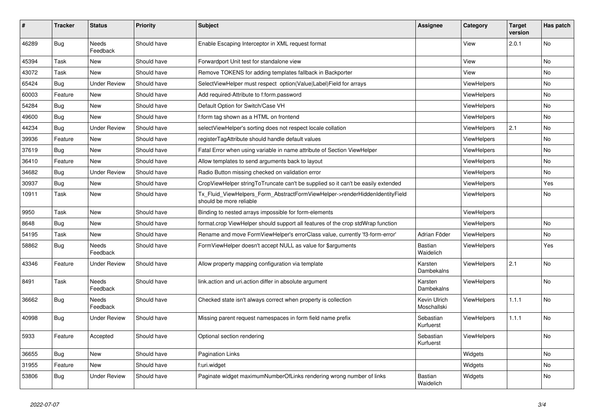| #     | <b>Tracker</b> | <b>Status</b>            | <b>Priority</b> | <b>Subject</b>                                                                                         | Assignee                    | Category           | <b>Target</b><br>version | Has patch |
|-------|----------------|--------------------------|-----------------|--------------------------------------------------------------------------------------------------------|-----------------------------|--------------------|--------------------------|-----------|
| 46289 | <b>Bug</b>     | <b>Needs</b><br>Feedback | Should have     | Enable Escaping Interceptor in XML request format                                                      |                             | View               | 2.0.1                    | <b>No</b> |
| 45394 | Task           | <b>New</b>               | Should have     | Forwardport Unit test for standalone view                                                              |                             | View               |                          | <b>No</b> |
| 43072 | Task           | <b>New</b>               | Should have     | Remove TOKENS for adding templates fallback in Backporter                                              |                             | View               |                          | No        |
| 65424 | Bug            | <b>Under Review</b>      | Should have     | SelectViewHelper must respect option(Value Label)Field for arrays                                      |                             | <b>ViewHelpers</b> |                          | No        |
| 60003 | Feature        | New                      | Should have     | Add required-Attribute to f:form.password                                                              |                             | ViewHelpers        |                          | No        |
| 54284 | Bug            | New                      | Should have     | Default Option for Switch/Case VH                                                                      |                             | ViewHelpers        |                          | No        |
| 49600 | Bug            | <b>New</b>               | Should have     | f:form tag shown as a HTML on frontend                                                                 |                             | ViewHelpers        |                          | No        |
| 44234 | <b>Bug</b>     | <b>Under Review</b>      | Should have     | selectViewHelper's sorting does not respect locale collation                                           |                             | <b>ViewHelpers</b> | 2.1                      | No        |
| 39936 | Feature        | <b>New</b>               | Should have     | registerTagAttribute should handle default values                                                      |                             | <b>ViewHelpers</b> |                          | No.       |
| 37619 | Bug            | New                      | Should have     | Fatal Error when using variable in name attribute of Section ViewHelper                                |                             | <b>ViewHelpers</b> |                          | No        |
| 36410 | Feature        | New                      | Should have     | Allow templates to send arguments back to layout                                                       |                             | <b>ViewHelpers</b> |                          | No        |
| 34682 | Bug            | <b>Under Review</b>      | Should have     | Radio Button missing checked on validation error                                                       |                             | <b>ViewHelpers</b> |                          | No        |
| 30937 | Bug            | New                      | Should have     | CropViewHelper stringToTruncate can't be supplied so it can't be easily extended                       |                             | <b>ViewHelpers</b> |                          | Yes       |
| 10911 | Task           | <b>New</b>               | Should have     | Tx Fluid ViewHelpers Form AbstractFormViewHelper->renderHiddenIdentityField<br>should be more reliable |                             | ViewHelpers        |                          | <b>No</b> |
| 9950  | Task           | New                      | Should have     | Binding to nested arrays impossible for form-elements                                                  |                             | <b>ViewHelpers</b> |                          |           |
| 8648  | Bug            | New                      | Should have     | format.crop ViewHelper should support all features of the crop stdWrap function                        |                             | ViewHelpers        |                          | No        |
| 54195 | Task           | New                      | Should have     | Rename and move FormViewHelper's errorClass value, currently 'f3-form-error'                           | Adrian Föder                | <b>ViewHelpers</b> |                          | No        |
| 58862 | Bug            | Needs<br>Feedback        | Should have     | FormViewHelper doesn't accept NULL as value for \$arguments                                            | <b>Bastian</b><br>Waidelich | <b>ViewHelpers</b> |                          | Yes       |
| 43346 | Feature        | <b>Under Review</b>      | Should have     | Allow property mapping configuration via template                                                      | Karsten<br>Dambekalns       | ViewHelpers        | 2.1                      | <b>No</b> |
| 8491  | Task           | Needs<br>Feedback        | Should have     | link.action and uri.action differ in absolute argument                                                 | Karsten<br>Dambekalns       | <b>ViewHelpers</b> |                          | No        |
| 36662 | Bug            | Needs<br>Feedback        | Should have     | Checked state isn't always correct when property is collection                                         | Kevin Ulrich<br>Moschallski | ViewHelpers        | 1.1.1                    | No        |
| 40998 | Bug            | <b>Under Review</b>      | Should have     | Missing parent request namespaces in form field name prefix                                            | Sebastian<br>Kurfuerst      | ViewHelpers        | 1.1.1                    | No        |
| 5933  | Feature        | Accepted                 | Should have     | Optional section rendering                                                                             | Sebastian<br>Kurfuerst      | <b>ViewHelpers</b> |                          | <b>No</b> |
| 36655 | Bug            | New                      | Should have     | <b>Pagination Links</b>                                                                                |                             | Widgets            |                          | No        |
| 31955 | Feature        | New                      | Should have     | f:uri.widget                                                                                           |                             | Widgets            |                          | No        |
| 53806 | Bug            | <b>Under Review</b>      | Should have     | Paginate widget maximumNumberOfLinks rendering wrong number of links                                   | Bastian<br>Waidelich        | Widgets            |                          | No        |